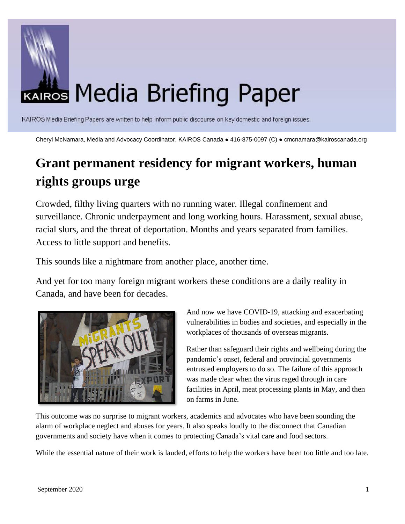

KAIROS Media Briefing Papers are written to help inform public discourse on key domestic and foreign issues.

Cheryl McNamara, Media and Advocacy Coordinator, KAIROS Canada ● 416-875-0097 (C) ● cmcnamara@kairoscanada.org

# **Grant permanent residency for migrant workers, human rights groups urge**

Crowded, filthy living quarters with no running water. Illegal confinement and surveillance. Chronic underpayment and long working hours. Harassment, sexual abuse, racial slurs, and the threat of deportation. Months and years separated from families. Access to little support and benefits.

This sounds like a nightmare from another place, another time.

And yet for too many foreign migrant workers these conditions are a daily reality in Canada, and have been for decades.



And now we have COVID-19, attacking and exacerbating vulnerabilities in bodies and societies, and especially in the workplaces of thousands of overseas migrants.

Rather than safeguard their rights and wellbeing during the pandemic's onset, federal and provincial governments entrusted employers to do so. The failure of this approach was made clear when the virus raged through in care facilities in April, meat processing plants in May, and then on farms in June.

This outcome was no surprise to migrant workers, academics and advocates who have been sounding the alarm of workplace neglect and abuses for years. It also speaks loudly to the disconnect that Canadian governments and society have when it comes to protecting Canada's vital care and food sectors.

While the essential nature of their work is lauded, efforts to help the workers have been too little and too late.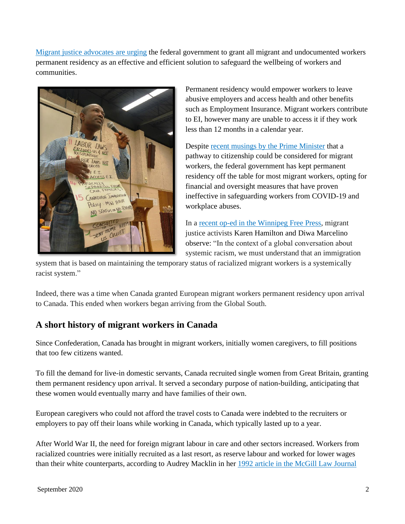[Migrant justice advocates are urging](https://migrantrights.ca/statusforall/) the federal government to grant all migrant and undocumented workers permanent residency as an effective and efficient solution to safeguard the wellbeing of workers and communities.



Permanent residency would empower workers to leave abusive employers and access health and other benefits such as Employment Insurance. Migrant workers contribute to EI, however many are unable to access it if they work less than 12 months in a calendar year.

Despite [recent musings by the Prime Minister](https://rabble.ca/news/2020/06/prime-minister-opens-door-citizenship-migrant-workers) that a pathway to citizenship could be considered for migrant workers, the federal government has kept permanent residency off the table for most migrant workers, opting for financial and oversight measures that have proven ineffective in safeguarding workers from COVID-19 and workplace abuses.

In a [recent op-ed in the Winnipeg Free Press,](https://www.winnipegfreepress.com/opinion/analysis/give-migrant-workers-permanent-status-571964992.html?fbclid=IwAR2tOTp_6XK79kcW6Wnj5VSaX9xlCYMfL_TRT17KEs1I8bJM9X8gQsfbNY8#cxrecs_s) migrant justice activists Karen Hamilton and Diwa Marcelino observe: "In the context of a global conversation about systemic racism, we must understand that an immigration

system that is based on maintaining the temporary status of racialized migrant workers is a systemically racist system."

Indeed, there was a time when Canada granted European migrant workers permanent residency upon arrival to Canada. This ended when workers began arriving from the Global South.

# **A short history of migrant workers in Canada**

Since Confederation, Canada has brought in migrant workers, initially women caregivers, to fill positions that too few citizens wanted.

To fill the demand for live-in domestic servants, Canada recruited single women from Great Britain, granting them permanent residency upon arrival. It served a secondary purpose of nation-building, anticipating that these women would eventually marry and have families of their own.

European caregivers who could not afford the travel costs to Canada were indebted to the recruiters or employers to pay off their loans while working in Canada, which typically lasted up to a year.

After World War II, the need for foreign migrant labour in care and other sectors increased. Workers from racialized countries were initially recruited as a last resort, as reserve labour and worked for lower wages than their white counterparts, according to Audrey Macklin in her [1992 article in the McGill Law Journal](https://ssrn.com/abstract=1629954)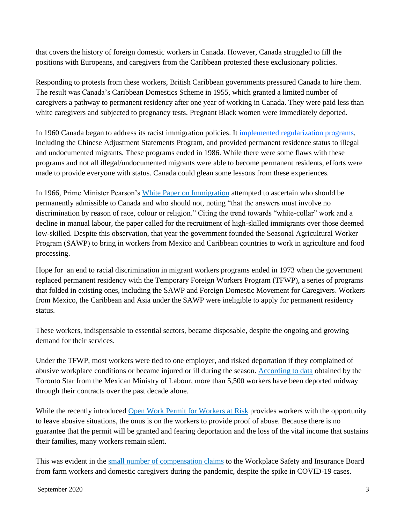that covers the history of foreign domestic workers in Canada. However, Canada struggled to fill the positions with Europeans, and caregivers from the Caribbean protested these exclusionary policies.

Responding to protests from these workers, British Caribbean governments pressured Canada to hire them. The result was Canada's Caribbean Domestics Scheme in 1955, which granted a limited number of caregivers a pathway to permanent residency after one year of working in Canada. They were paid less than white caregivers and subjected to pregnancy tests. Pregnant Black women were immediately deported.

In 1960 Canada began to address its racist immigration policies. It implemented [regularization programs,](https://www.kairoscanada.org/wp-content/uploads/2020/08/The-Regularization-of-NonStatus-Immigrants-in-Canada-1960-2004.pdf) including the Chinese Adjustment Statements Program, and provided permanent residence status to illegal and undocumented migrants. These programs ended in 1986. While there were some flaws with these programs and not all illegal/undocumented migrants were able to become permanent residents, efforts were made to provide everyone with status. Canada could glean some lessons from these experiences.

In 1966, Prime Minister Pearson's [White Paper on Immigration](https://pier21.ca/research/immigration-history/white-paper-on-immigration-1966) attempted to ascertain who should be permanently admissible to Canada and who should not, noting "that the answers must involve no discrimination by reason of race, colour or religion." Citing the trend towards "white-collar" work and a decline in manual labour, the paper called for the recruitment of high-skilled immigrants over those deemed low-skilled. Despite this observation, that year the government founded the Seasonal Agricultural Worker Program (SAWP) to bring in workers from Mexico and Caribbean countries to work in agriculture and food processing.

Hope for an end to racial discrimination in migrant workers programs ended in 1973 when the government replaced permanent residency with the Temporary Foreign Workers Program (TFWP), a series of programs that folded in existing ones, including the SAWP and Foreign Domestic Movement for Caregivers. Workers from Mexico, the Caribbean and Asia under the SAWP were ineligible to apply for permanent residency status.

These workers, indispensable to essential sectors, became disposable, despite the ongoing and growing demand for their services.

Under the TFWP, most workers were tied to one employer, and risked deportation if they complained of abusive workplace conditions or became injured or ill during the season. [According to data](https://www.thestar.com/business/2020/06/27/the-ontario-government-says-migrant-workers-have-equal-rights-and-access-to-benefits-but-do-they.html) obtained by the Toronto Star from the Mexican Ministry of Labour, more than 5,500 workers have been deported midway through their contracts over the past decade alone.

While the recently introduced [Open Work Permit for Workers at](https://www.canada.ca/en/immigration-refugees-citizenship/corporate/publications-manuals/operational-bulletins-manuals/temporary-residents/foreign-workers/vulnerable-workers.html) Risk provides workers with the opportunity to leave abusive situations, the onus is on the workers to provide proof of abuse. Because there is no guarantee that the permit will be granted and fearing deportation and the loss of the vital income that sustains their families, many workers remain silent.

This was evident in the [small number of compensation claims](https://www.thestar.com/business/2020/06/27/the-ontario-government-says-migrant-workers-have-equal-rights-and-access-to-benefits-but-do-they.html) to the Workplace Safety and Insurance Board from farm workers and domestic caregivers during the pandemic, despite the spike in COVID-19 cases.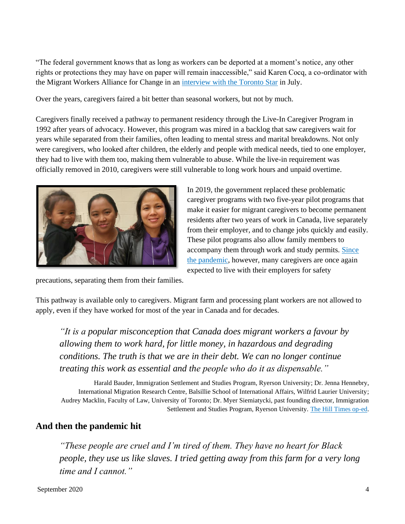"The federal government knows that as long as workers can be deported at a moment's notice, any other rights or protections they may have on paper will remain inaccessible," said Karen Cocq, a co-ordinator with the Migrant Workers Alliance for Change in an [interview with the Toronto Star](https://www.thestar.com/business/2020/07/30/this-migrant-worker-spoke-out-about-a-massive-covid-19-outbreak-that-killed-his-bunkmate-then-he-was-fired-a-legal-complaint-says.html) in July.

Over the years, caregivers faired a bit better than seasonal workers, but not by much.

Caregivers finally received a pathway to permanent residency through the Live-In Caregiver Program in 1992 after years of advocacy. However, this program was mired in a backlog that saw caregivers wait for years while separated from their families, often leading to mental stress and marital breakdowns. Not only were caregivers, who looked after children, the elderly and people with medical needs, tied to one employer, they had to live with them too, making them vulnerable to abuse. While the live-in requirement was officially removed in 2010, caregivers were still vulnerable to long work hours and unpaid overtime.



precautions, separating them from their families.

These pilot programs also allow family members to accompany them through work and study permits. [Since](https://www.vice.com/en_ca/article/889q93/migrant-domestic-caregivers-are-stuck-with-their-bosses-247-because-of-coronavirus)  [the pandemic,](https://www.vice.com/en_ca/article/889q93/migrant-domestic-caregivers-are-stuck-with-their-bosses-247-because-of-coronavirus) however, many caregivers are once again expected to live with their employers for safety

In 2019, the government replaced these problematic

caregiver programs with two five-year pilot programs that make it easier for migrant caregivers to become permanent residents after two years of work in Canada, live separately from their employer, and to change jobs quickly and easily.

This pathway is available only to caregivers. Migrant farm and processing plant workers are not allowed to apply, even if they have worked for most of the year in Canada and for decades.

*"It is a popular misconception that Canada does migrant workers a favour by allowing them to work hard, for little money, in hazardous and degrading conditions. The truth is that we are in their debt. We can no longer continue treating this work as essential and the people who do it as dispensable."*

Harald Bauder, Immigration Settlement and Studies Program, Ryerson University; Dr. Jenna Hennebry, International Migration Research Centre, Balsillie School of International Affairs, Wilfrid Laurier University; Audrey Macklin, Faculty of Law, University of Toronto; Dr. Myer Siemiatycki, past founding director, Immigration Settlement and Studies Program, Ryerson University. [The Hill Times op-ed.](https://www.hilltimes.com/2020/08/05/migrant-workers-have-paid-their-dues-and-should-be-given-a-path-to-permanent-residency/258657)

# **And then the pandemic hit**

*"These people are cruel and I'm tired of them. They have no heart for Black people, they use us like slaves. I tried getting away from this farm for a very long time and I cannot."*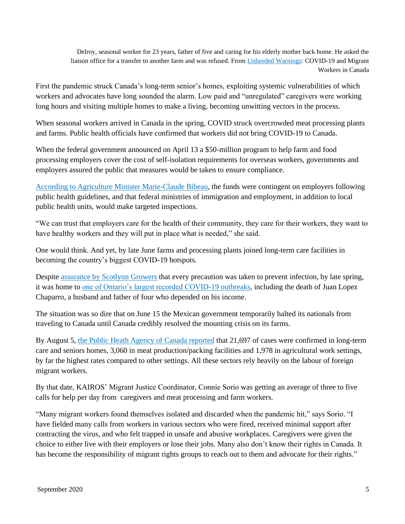Delroy, seasonal worker for 23 years, father of five and caring for his elderly mother back home. He asked the liaison office for a transfer to another farm and was refused. From [Unheeded Warnings:](https://migrantworkersalliance.org/wp-content/uploads/2020/06/Unheeded-Warnings-COVID19-and-Migrant-Workers.pdf) COVID-19 and Migrant Workers in Canada

First the pandemic struck Canada's long-term senior's homes, exploiting systemic vulnerabilities of which workers and advocates have long sounded the alarm. Low paid and "unregulated" caregivers were working long hours and visiting multiple homes to make a living, becoming unwitting vectors in the process.

When seasonal workers arrived in Canada in the spring, COVID struck overcrowded meat processing plants and farms. Public health officials have confirmed that workers did not bring COVID-19 to Canada.

When the federal government announced on April 13 a \$50-million program to help farm and food processing employers cover the cost of self-isolation requirements for overseas workers, governments and employers assured the public that measures would be taken to ensure compliance.

[According to Agriculture Minister Marie-Claude Bibeau,](https://www.thestar.com/business/2020/04/13/migrant-farm-workers-fear-exposure-to-covid-19.html) the funds were contingent on employers following public health guidelines, and that federal ministries of immigration and employment, in addition to local public health units, would make targeted inspections.

"We can trust that employers care for the health of their community, they care for their workers, they want to have healthy workers and they will put in place what is needed," she said.

One would think. And yet, by late June farms and processing plants joined long-term care facilities in becoming the country's biggest COVID-19 hotspots.

Despite [assurance by Scotlynn Growers](https://www.thestar.com/business/2020/06/27/the-ontario-government-says-migrant-workers-have-equal-rights-and-access-to-benefits-but-do-they.html) that every precaution was taken to prevent infection, by late spring, it was home to [one of Ontario's largest recorded COVID-19 outbreaks,](https://www.thestar.com/business/2020/06/24/a-third-migrant-worker-is-dead-and-the-farm-where-he-worked-had-a-long-history-of-complaints-an-inside-look-at-scotlynn-growers.html) including the death of Juan Lopez Chaparro, a husband and father of four who depended on his income.

The situation was so dire that on June 15 the Mexican government temporarily halted its nationals from traveling to Canada until Canada credibly resolved the mounting crisis on its farms.

By August 5, [the Public Heath Agency of Canada reported](https://www.canada.ca/content/dam/phac-aspc/documents/services/diseases/2019-novel-coronavirus-infection/en-surv-covid19-weekly-epi-update-20200807.pdf) that 21,697 of cases were confirmed in long-term care and seniors homes, 3,060 in meat production/packing facilities and 1,978 in agricultural work settings, by far the highest rates compared to other settings. All these sectors rely heavily on the labour of foreign migrant workers.

By that date, KAIROS' Migrant Justice Coordinator, Connie Sorio was getting an average of three to five calls for help per day from caregivers and meat processing and farm workers.

"Many migrant workers found themselves isolated and discarded when the pandemic hit," says Sorio. "I have fielded many calls from workers in various sectors who were fired, received minimal support after contracting the virus, and who felt trapped in unsafe and abusive workplaces. Caregivers were given the choice to either live with their employers or lose their jobs. Many also don't know their rights in Canada. It has become the responsibility of migrant rights groups to reach out to them and advocate for their rights."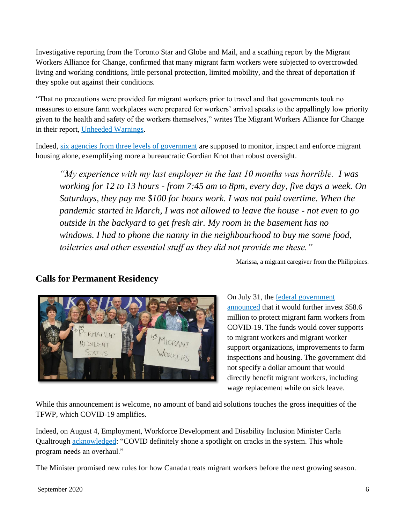Investigative reporting from the Toronto Star and Globe and Mail, and a scathing report by the Migrant Workers Alliance for Change, confirmed that many migrant farm workers were subjected to overcrowded living and working conditions, little personal protection, limited mobility, and the threat of deportation if they spoke out against their conditions.

"That no precautions were provided for migrant workers prior to travel and that governments took no measures to ensure farm workplaces were prepared for workers' arrival speaks to the appallingly low priority given to the health and safety of the workers themselves," writes The Migrant Workers Alliance for Change in their report, [Unheeded Warnings.](https://migrantworkersalliance.org/wp-content/uploads/2020/06/Unheeded-Warnings-COVID19-and-Migrant-Workers.pdf)

Indeed, [six agencies from three levels of government](https://windsorstar.com/news/local-news/federal-minister-says-housing-solution-for-farm-workers-just-weeks-away) are supposed to monitor, inspect and enforce migrant housing alone, exemplifying more a bureaucratic Gordian Knot than robust oversight.

*"My experience with my last employer in the last 10 months was horrible. I was working for 12 to 13 hours - from 7:45 am to 8pm, every day, five days a week. On Saturdays, they pay me \$100 for hours work. I was not paid overtime. When the pandemic started in March, I was not allowed to leave the house - not even to go outside in the backyard to get fresh air. My room in the basement has no windows. I had to phone the nanny in the neighbourhood to buy me some food, toiletries and other essential stuff as they did not provide me these."*

Marissa, a migrant caregiver from the Philippines.

# **Calls for Permanent Residency**



On July 31, th[e federal government](https://www.cbc.ca/news/canada/windsor/federal-government-59-million-migrant-farm-workers-covid-1.5671468)  [announced](https://www.cbc.ca/news/canada/windsor/federal-government-59-million-migrant-farm-workers-covid-1.5671468) that it would further invest \$58.6 million to protect migrant farm workers from COVID-19. The funds would cover supports to migrant workers and migrant worker support organizations, improvements to farm inspections and housing. The government did not specify a dollar amount that would directly benefit migrant workers, including wage replacement while on sick leave.

While this announcement is welcome, no amount of band aid solutions touches the gross inequities of the TFWP, which COVID-19 amplifies.

Indeed, on August 4, Employment, Workforce Development and Disability Inclusion Minister Carla Qualtrough [acknowledged:](https://windsorstar.com/news/local-news/federal-minister-says-housing-solution-for-farm-workers-just-weeks-away) "COVID definitely shone a spotlight on cracks in the system. This whole program needs an overhaul."

The Minister promised new rules for how Canada treats migrant workers before the next growing season.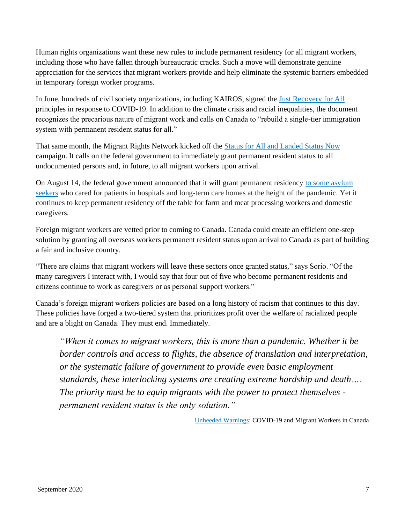Human rights organizations want these new rules to include permanent residency for all migrant workers, including those who have fallen through bureaucratic cracks. Such a move will demonstrate genuine appreciation for the services that migrant workers provide and help eliminate the systemic barriers embedded in temporary foreign worker programs.

In June, hundreds of civil society organizations, including KAIROS, signed the [Just Recovery for All](https://www.kairoscanada.org/kairos-joins-over-150-organizations-to-demand-a-just-recovery-for-people-and-the-planet) principles in response to COVID-19. In addition to the climate crisis and racial inequalities, the document recognizes the precarious nature of migrant work and calls on Canada to "rebuild a single-tier immigration system with permanent resident status for all."

That same month, the Migrant Rights Network kicked off the [Status for All and Landed Status Now](https://migrantrights.ca/statusforall/) campaign. It calls on the federal government to immediately grant permanent resident status to all undocumented persons and, in future, to all migrant workers upon arrival.

On August 14, the federal government announced that it will grant permanent residency [to some asylum](https://www.cbc.ca/news/canada/montreal/asylum-seekers-guardian-angels-covid-19-permanent-residency-1.5686176?fbclid=IwAR1ID4yjIvmzKPk-tDyw1j2cXgPMFGBCBC5KCtv52xJz2jlqYcyX6oZVEHI)  [seekers](https://www.cbc.ca/news/canada/montreal/asylum-seekers-guardian-angels-covid-19-permanent-residency-1.5686176?fbclid=IwAR1ID4yjIvmzKPk-tDyw1j2cXgPMFGBCBC5KCtv52xJz2jlqYcyX6oZVEHI) who cared for patients in hospitals and long-term care homes at the height of the pandemic. Yet it continues to keep permanent residency off the table for farm and meat processing workers and domestic caregivers.

Foreign migrant workers are vetted prior to coming to Canada. Canada could create an efficient one-step solution by granting all overseas workers permanent resident status upon arrival to Canada as part of building a fair and inclusive country.

"There are claims that migrant workers will leave these sectors once granted status," says Sorio. "Of the many caregivers I interact with, I would say that four out of five who become permanent residents and citizens continue to work as caregivers or as personal support workers."

Canada's foreign migrant workers policies are based on a long history of racism that continues to this day. These policies have forged a two-tiered system that prioritizes profit over the welfare of racialized people and are a blight on Canada. They must end. Immediately.

*"When it comes to migrant workers, this is more than a pandemic. Whether it be border controls and access to flights, the absence of translation and interpretation, or the systematic failure of government to provide even basic employment standards, these interlocking systems are creating extreme hardship and death…. The priority must be to equip migrants with the power to protect themselves permanent resident status is the only solution."* 

[Unheeded Warnings:](https://migrantworkersalliance.org/wp-content/uploads/2020/06/Unheeded-Warnings-COVID19-and-Migrant-Workers.pdf) COVID-19 and Migrant Workers in Canada